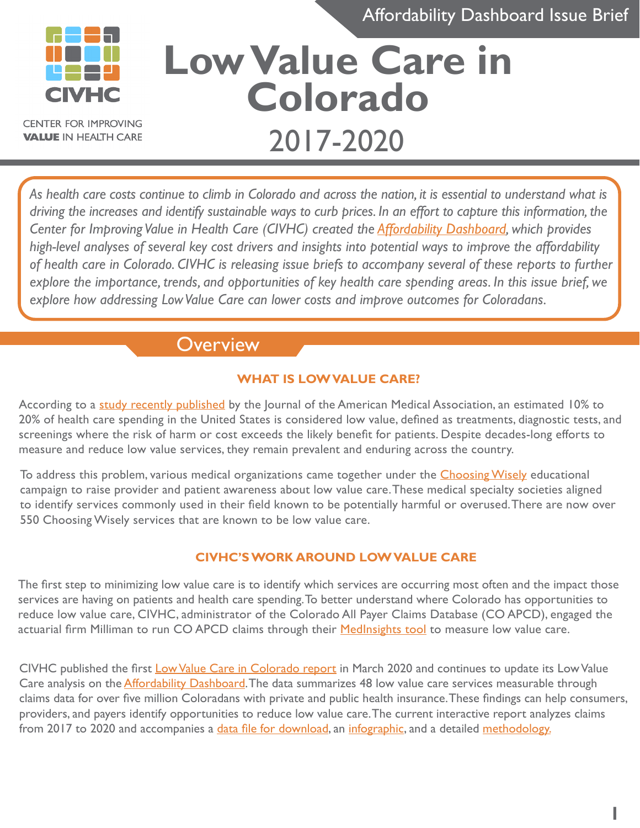Affordability Dashboard Issue Brief

**1**



**CENTER FOR IMPROVING VALUE IN HEALTH CARE** 

# **Low Value Care in Colorado** 2017-2020

*As health care costs continue to climb in Colorado and across the nation, it is essential to understand what is driving the increases and identify sustainable ways to curb prices. In an effort to capture this information, the Center for Improving Value in Health Care (CIVHC) created the [Affordability Dashboard](https://www.civhc.org/get-data/public-data/affordability-dashboard-2/), which provides high-level analyses of several key cost drivers and insights into potential ways to improve the affordability of health care in Colorado. CIVHC is releasing issue briefs to accompany several of these reports to further explore the importance, trends, and opportunities of key health care spending areas. In this issue brief, we explore how addressing Low Value Care can lower costs and improve outcomes for Coloradans.*

## **Overview**

## **WHAT IS LOW VALUE CARE?**

According to a [study recently published](https://jamanetwork.com/journals/jamanetworkopen/fullarticle/2776516) by the Journal of the American Medical Association, an estimated 10% to 20% of health care spending in the United States is considered low value, defined as treatments, diagnostic tests, and screenings where the risk of harm or cost exceeds the likely benefit for patients. Despite decades-long efforts to measure and reduce low value services, they remain prevalent and enduring across the country.

To address this problem, various medical organizations came together under the **Choosing Wisely** educational campaign to raise provider and patient awareness about low value care. These medical specialty societies aligned to identify services commonly used in their field known to be potentially harmful or overused. There are now over 550 Choosing Wisely services that are known to be low value care.

#### **CIVHC'S WORK AROUND LOW VALUE CARE**

The first step to minimizing low value care is to identify which services are occurring most often and the impact those services are having on patients and health care spending. To better understand where Colorado has opportunities to reduce low value care, CIVHC, administrator of the Colorado All Payer Claims Database (CO APCD), engaged the actuarial firm Milliman to run CO APCD claims through their Medlnsights tool to measure low value care.

CIVHC published the first [Low Value Care in Colorado report](https://www.civhc.org/wp-content/uploads/2020/03/Low-Value-Care-Public-Report_FINAL.pdf) in March 2020 and continues to update its Low Value Care analysis on the **Affordability Dashboard**. The data summarizes 48 low value care services measurable through claims data for over five million Coloradans with private and public health insurance. These findings can help consumers, providers, and payers identify opportunities to reduce low value care. The current interactive report analyzes claims from 2017 to 2020 and accompanies a [data file for download](https://docs.google.com/forms/d/e/1FAIpQLScvFtjCTNP4rH_fhp9AAH6CjpqYr4ALgOrtiv0hlmdCyfz9Sg/viewform), an [infographic,](https://www.civhc.org/wp-content/uploads/2022/05/Low-Value-Care-Infographic-2022_Updated.pdf) and a detailed [methodology.](https://www.civhc.org/wp-content/uploads/2022/04/Affordability-Dashboard_Low-Value-Care-Methodology_Final.pdf)